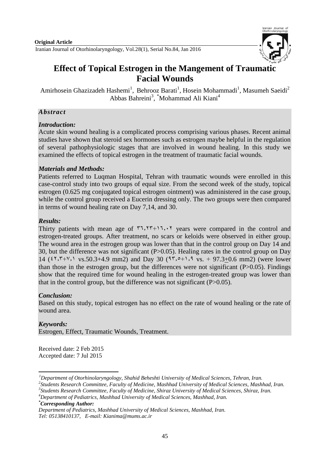

# **Effect of Topical Estrogen in the Mangement of Traumatic Facial Wounds**

Amirhosein Ghazizadeh Hashemi<sup>1</sup>, Behrooz Barati<sup>1</sup>, Hosein Mohammadi<sup>1</sup>, Masumeh Saeidi<sup>2</sup> Abbas Bahreini<sup>3</sup>, \*Mohammad Ali Kiani<sup>4</sup>

## *Abstract*

## *Introduction:*

Acute skin wound healing is a complicated process comprising various phases. Recent animal studies have shown that steroid sex hormones such as estrogen maybe helpful in the regulation of several pathophysiologic stages that are involved in wound healing. In this study we examined the effects of topical estrogen in the treatment of traumatic facial wounds.

## *Materials and Methods:*

Patients referred to Luqman Hospital, Tehran with traumatic wounds were enrolled in this case-control study into two groups of equal size. From the second week of the study, topical estrogen (0.625 mg conjugated topical estrogen ointment) was administered in the case group, while the control group received a Eucerin dressing only. The two groups were then compared in terms of wound healing rate on Day 7,14, and 30.

## *Results:*

Thirty patients with mean age of  $\tau$ ,  $\tau$ +1, $\tau$ ,  $\tau$  years were compared in the control and estrogen-treated groups. After treatment, no scars or keloids were observed in either group. The wound area in the estrogen group was lower than that in the control group on Day 14 and 30, but the difference was not significant (P>0.05). Healing rates in the control group on Day 14 (31.3+1.2 vs.50.3+4.9 mm2) and Day 30 (13.9+2.1 vs. + 97.3+0.6 mm2) (were lower than those in the estrogen group, but the differences were not significant  $(P>0.05)$ . Findings show that the required time for wound healing in the estrogen-treated group was lower than that in the control group, but the difference was not significant  $(P>0.05)$ .

# *Conclusion:*

Based on this study, topical estrogen has no effect on the rate of wound healing or the rate of wound area.

## *Keywords:*

-

Estrogen, Effect, Traumatic Wounds, Treatment.

Received date: 2 Feb 2015 Accepted date: 7 Jul 2015

*<sup>1</sup>Department of Otorhinolaryngology, Shahid Beheshti University of Medical Sciences, Tehran, Iran.*

*<sup>2</sup> Students Research Committee, Faculty of Medicine, Mashhad University of Medical Sciences, Mashhad, Iran.*

*<sup>3</sup> Students Research Committee, Faculty of Medicine, Shiraz University of Medical Sciences, Shiraz, Iran.*

*<sup>4</sup>Department of Pediatrics, Mashhad University of Medical Sciences, Mashhad, Iran.*

*<sup>\*</sup>Corresponding Author:*

*Department of Pediatrics, Mashhad University of Medical Sciences, Mashhad, Iran. Tel: 05138410137, E-mail: [Kianima@mums.ac.ir](mailto:Kianima@mums.ac.ir)*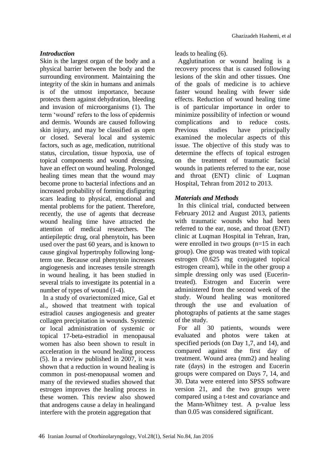#### *Introduction*

Skin is the largest organ of the body and a physical barrier between the body and the surrounding environment. Maintaining the integrity of the skin in humans and animals is of the utmost importance, because protects them against dehydration, bleeding and invasion of microorganisms (1). The term 'wound' refers to the loss of epidermis and dermis. Wounds are caused following skin injury, and may be classified as open or closed. Several local and systemic factors, such as age, medication, nutritional status, circulation, tissue hypoxia, use of topical components and wound dressing, have an effect on wound healing. Prolonged healing times mean that the wound may become prone to bacterial infections and an increased probability of forming disfiguring scars leading to physical, emotional and mental problems for the patient. Therefore, recently, the use of agents that decrease wound healing time have attracted the attention of medical researchers. The antiepileptic drug, oral phenytoin, has been used over the past 60 years, and is known to cause gingival hypertrophy following longterm use. Because oral phenytoin increases angiogenesis and increases tensile strength in wound healing, it has been studied in several trials to investigate its potential in a number of types of wound (1-4).

In a study of ovariectomized mice, Gal et al., showed that treatment with topical estradiol causes angiogenesis and greater collagen precipitation in wounds. Systemic or local administration of systemic or topical 17-beta-estradiol in menopausal women has also been shown to result in acceleration in the wound healing process (5). In a review published in 2007, it was shown that a reduction in wound healing is common in post-menopausal women and many of the reviewed studies showed that estrogen improves the healing process in these women. This review also showed that androgens cause a delay in healingand interfere with the protein aggregation that

leads to healing (6).

Agglutination or wound healing is a recovery process that is caused following lesions of the skin and other tissues. One of the goals of medicine is to achieve faster wound healing with fewer side effects. Reduction of wound healing time is of particular importance in order to minimize possibility of infection or wound complications and to reduce costs. Previous studies have principally examined the molecular aspects of this issue. The objective of this study was to determine the effects of topical estrogen on the treatment of traumatic facial wounds in patients referred to the ear, nose and throat (ENT) clinic of Luqman Hospital, Tehran from 2012 to 2013.

#### *Materials and Methods*

In this clinical trial, conducted between February 2012 and August 2013, patients with traumatic wounds who had been referred to the ear, nose, and throat (ENT) clinic at Luqman Hospital in Tehran, Iran, were enrolled in two groups (n=15 in each group). One group was treated with topical estrogen (0.625 mg conjugated topical estrogen cream), while in the other group a simple dressing only was used (Eucerintreated). Estrogen and Eucerin were administered from the second week of the study. Wound healing was monitored through the use and evaluation of photographs of patients at the same stages of the study.

For all 30 patients, wounds were evaluated and photos were taken at specified periods (on Day 1,7, and 14), and compared against the first day of treatment. Wound area (mm2) and healing rate (days) in the estrogen and Eucerin groups were compared on Days 7, 14, and 30. Data were entered into SPSS software version 21, and the two groups were compared using a t-test and covariance and the Mann-Whitney test. A p-value less than 0.05 was considered significant.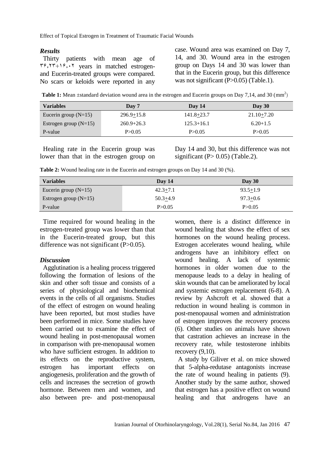Effect of Topical Estrogen in Treatment of Traumatic Facial Wounds

#### *Results*

Thirty patients with mean age of  $\tau$ ,  $\tau$  +1 $\tau$ ,  $\tau$  years in matched estrogenand Eucerin-treated groups were compared. No scars or keloids were reported in any case. Wound area was examined on Day 7, 14, and 30. Wound area in the estrogen group on Days 14 and 30 was lower than that in the Eucerin group, but this difference was not significant (P>0.05) (Table.1).

Table 1: Mean ±standard deviation wound area in the estrogen and Eucerin groups on Day 7,14, and 30 (mm<sup>2</sup>)

| <b>Variables</b>        | Day 7          | Day 14         | Day 30         |
|-------------------------|----------------|----------------|----------------|
| Eucerin group $(N=15)$  | $296.9 + 15.8$ | $141.8 + 23.7$ | $21.10 + 7.20$ |
| Estrogen group $(N=15)$ | $260.9 + 26.3$ | $125.3 + 16.1$ | $6.20 + 1.5$   |
| P-value                 | P > 0.05       | P > 0.05       | P > 0.05       |

Healing rate in the Eucerin group was lower than that in the estrogen group on Day 14 and 30, but this difference was not significant ( $P > 0.05$ ) (Table.2).

**Table 2:** Wound healing rate in the Eucerin and estrogen groups on Day 14 and 30 (%).

| <b>Variables</b>        | Day $14$     | Day 30       |
|-------------------------|--------------|--------------|
| Eucerin group $(N=15)$  | $42.3 + 7.1$ | $93.5 + 1.9$ |
| Estrogen group $(N=15)$ | $50.3 + 4.9$ | $97.3 + 0.6$ |
| P-value                 | P > 0.05     | P > 0.05     |

Time required for wound healing in the estrogen-treated group was lower than that in the Eucerin-treated group, but this difference was not significant (P>0.05).

#### *Discussion*

Agglutination is a healing process triggered following the formation of lesions of the skin and other soft tissue and consists of a series of physiological and biochemical events in the cells of all organisms. Studies of the effect of estrogen on wound healing have been reported, but most studies have been performed in mice. Some studies have been carried out to examine the effect of wound healing in post-menopausal women in comparison with pre-menopausal women who have sufficient estrogen. In addition to its effects on the reproductive system, estrogen has important effects on angiogenesis, proliferation and the growth of cells and increases the secretion of growth hormone. Between men and women, and also between pre- and post-menopausal women, there is a distinct difference in wound healing that shows the effect of sex hormones on the wound healing process. Estrogen accelerates wound healing, while androgens have an inhibitory effect on wound healing. A lack of systemic hormones in older women due to the menopause leads to a delay in healing of skin wounds that can be ameliorated by local and systemic estrogen replacement (6-8). A review by Ashcroft et al. showed that a reduction in wound healing is common in post-menopausal women and administration of estrogen improves the recovery process (6). Other studies on animals have shown that castration achieves an increase in the recovery rate, while testosterone inhibits recovery  $(9,10)$ .

A study by Giliver et al. on mice showed that 5-alpha-redutase antagonists increase the rate of wound healing in patients (9). Another study by the same author, showed that estrogen has a positive effect on wound healing and that androgens have an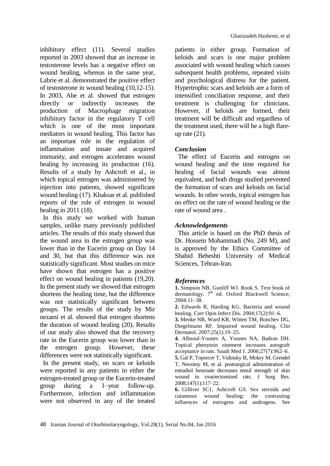inhibitory effect (11). Several studies reported in 2003 showed that an increase in testosterone levels has a negative effect on wound healing, whereas in the same year, Labrie et al. demonstrated the positive effect of testosterone in wound healing (10,12-15). In 2003, Abe et al. showed that estrogen directly or indirectly increases the production of Macrophage migration inhibitory factor in the regulatory T cell which is one of the most important mediators in wound healing. This factor has an important role in the regulation of inflammation and innate and acquired immunity, and estrogen accelerates wound healing by increasing its production (16). Results of a study by Ashcroft et al., in which topical estrogen was administered by injection into patients, showed significant wound healing (17). Khaksar et al. published reports of the role of estrogen in wound healing in 2011 (18).

In this study we worked with human samples, unlike many previously published articles. The results of this study showed that the wound area in the estrogen group was lower than in the Eucerin group on Day 14 and 30, but that this difference was not statistically significant. Most studies on mice have shown that estrogen has a positive effect on wound healing in patients (19,20). In the present study we showed that estrogen shortens the healing time, but the difference was not statistically significant between groups. The results of the study by Mir nezami et al. showed that estrogen shortens the duration of wound healing (20). Results of our study also showed that the recovery rate in the Eucerin group was lower than in the estrogen group. However, these differences were not statistically significant.

In the present study, no scars or keloids were reported in any patients in either the estrogen-treated group or the Eucerin-treated group during a 1–year follow-up. Furthermore, infection and inflammation were not observed in any of the treated patients in either group. Formation of keloids and scars is one major problem associated with wound healing which causes subsequent health problems, repeated visits and psychological distress for the patient. Hypertrophic scars and keloids are a form of intensified conciliation response, and their treatment is challenging for clinicians. However, if keloids are formed, their treatment will be difficult and regardless of the treatment used, there will be a high flareup rate  $(21)$ .

#### *Conclusion*

The effect of Eucerin and estrogen on wound healing and the time required for healing of facial wounds was almost equivalent, and both drugs studied prevented the formation of scars and keloids on facial wounds. In other words, topical estrogen has no effect on the rate of wound healing or the rate of wound area .

#### *Acknowledgements*

This article is based on the PhD thesis of Dr. Hossein Mohammadi (No. 249 M), and is approved by the Ethics Committee of Shahid Beheshti University of Medical Sciences, Tehran-Iran.

#### *References*

**1.** Simpson NB, Gunliff WJ. Rook S. Text book of dermatology.  $7<sup>th</sup>$  ed. Oxford Blackwell Science; 2004:11–38.

**2.** [Edwards R,](http://www.ncbi.nlm.nih.gov/pubmed/?term=Edwards%20R%5BAuthor%5D&cauthor=true&cauthor_uid=15021046) [Harding KG.](http://www.ncbi.nlm.nih.gov/pubmed/?term=Harding%20KG%5BAuthor%5D&cauthor=true&cauthor_uid=15021046) Bacteria and wound healing. [Curr Opin Infect Dis.](http://www.ncbi.nlm.nih.gov/pubmed/15021046) 2004;17(2):91–6.

**3.** [Menke NB,](http://www.ncbi.nlm.nih.gov/pubmed/?term=Menke%20NB%5BAuthor%5D&cauthor=true&cauthor_uid=17276197) [Ward KR,](http://www.ncbi.nlm.nih.gov/pubmed/?term=Ward%20KR%5BAuthor%5D&cauthor=true&cauthor_uid=17276197) [Witten TM,](http://www.ncbi.nlm.nih.gov/pubmed/?term=Witten%20TM%5BAuthor%5D&cauthor=true&cauthor_uid=17276197) [Bonchev DG,](http://www.ncbi.nlm.nih.gov/pubmed/?term=Bonchev%20DG%5BAuthor%5D&cauthor=true&cauthor_uid=17276197) [Diegelmann RF.](http://www.ncbi.nlm.nih.gov/pubmed/?term=Diegelmann%20RF%5BAuthor%5D&cauthor=true&cauthor_uid=17276197) Impaired wound healing. [Clin](http://www.ncbi.nlm.nih.gov/pubmed/17276197)  [Dermatol.](http://www.ncbi.nlm.nih.gov/pubmed/17276197) 2007;25(1):19–25.

**4.** [Albsoul-Younes A,](http://www.ncbi.nlm.nih.gov/pubmed/?term=Albsoul-Younes%20A%5BAuthor%5D&cauthor=true&cauthor_uid=16830012) [Younes NA,](http://www.ncbi.nlm.nih.gov/pubmed/?term=Younes%20NA%5BAuthor%5D&cauthor=true&cauthor_uid=16830012) [Badran DH.](http://www.ncbi.nlm.nih.gov/pubmed/?term=Badran%20DH%5BAuthor%5D&cauthor=true&cauthor_uid=16830012) Topical phenytoin ointment increases autograft acceptance in rats[. Saudi Med J.](http://www.ncbi.nlm.nih.gov/pubmed/16830012) 2006;27(7):962–6.

**5.** Gal P, Toporcer T, Vidinsky B, Mokry M, Grendel T, Novotny M, et al. postsurgical administration of estradiol benzoate decreases tensil strength of skin wound in ovariectomized rats. J Surg Res. 2008;147(1):117–22.

**6.** [Gilliver SC1](http://www.ncbi.nlm.nih.gov/pubmed/?term=Gilliver%20SC%5BAuthor%5D&cauthor=true&cauthor_uid=17653954), [Ashcroft GS.](http://www.ncbi.nlm.nih.gov/pubmed/?term=Ashcroft%20GS%5BAuthor%5D&cauthor=true&cauthor_uid=17653954) Sex steroids and cutaneous wound healing: the contrasting influences of estrogens and androgens. [See](http://www.ncbi.nlm.nih.gov/pubmed/17653954#comments)